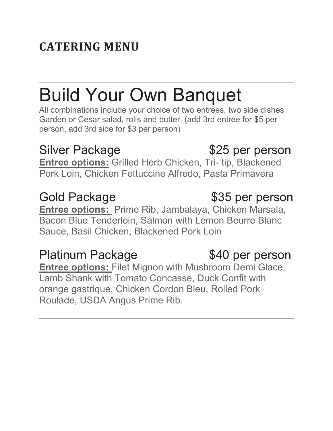# **CATERING MENU**

# Build Your Own Banquet

All combinations include your choice of two entrees, two side dishes Garden or Cesar salad, rolls and butter. (add 3rd entree for \$5 per person, add 3rd side for \$3 per person)

**Entree options:** Grilled Herb Chicken, Tri- tip, Blackened Pork Loin, Chicken Fettuccine Alfredo, Pasta Primavera

**Entree options:** Prime Rib, Jambalaya, Chicken Marsala, Bacon Blue Tenderloin, Salmon with Lemon Beurre Blanc Sauce, Basil Chicken, Blackened Pork Loin

## Platinum Package  $$40$  per person

**Entree options:** Filet Mignon with Mushroom Demi Glace, Lamb Shank with Tomato Concasse, Duck Confit with orange gastrique, Chicken Cordon Bleu, Rolled Pork Roulade, USDA Angus Prime Rib.

### Gold Package  $$35$  per person

# Silver Package **\$25 per person**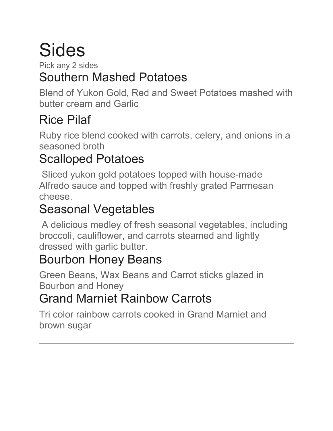# Sides

Pick any 2 sides

# Southern Mashed Potatoes

Blend of Yukon Gold, Red and Sweet Potatoes mashed with butter cream and Garlic

# Rice Pilaf

Ruby rice blend cooked with carrots, celery, and onions in a seasoned broth

# Scalloped Potatoes

Sliced yukon gold potatoes topped with house-made Alfredo sauce and topped with freshly grated Parmesan cheese.

# Seasonal Vegetables

A delicious medley of fresh seasonal vegetables, including broccoli, cauliflower, and carrots steamed and lightly dressed with garlic butter.

## Bourbon Honey Beans

Green Beans, Wax Beans and Carrot sticks glazed in Bourbon and Honey

# Grand Marniet Rainbow Carrots

Tri color rainbow carrots cooked in Grand Marniet and brown sugar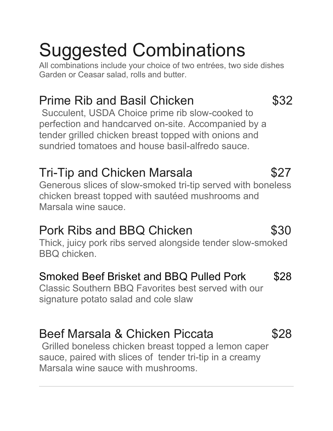# Suggested Combinations

All combinations include your choice of two entrées, two side dishes Garden or Ceasar salad, rolls and butter.

### Prime Rib and Basil Chicken  $$32$

Succulent, USDA Choice prime rib slow-cooked to perfection and handcarved on-site. Accompanied by a tender grilled chicken breast topped with onions and sundried tomatoes and house basil-alfredo sauce.

### Tri-Tip and Chicken Marsala  $$27$

Generous slices of slow-smoked tri-tip served with boneless chicken breast topped with sautéed mushrooms and Marsala wine sauce.

### Pork Ribs and BBQ Chicken  $$30$

Thick, juicy pork ribs served alongside tender slow-smoked BBQ chicken.

### Smoked Beef Brisket and BBQ Pulled Pork\$28

Classic Southern BBQ Favorites best served with our signature potato salad and cole slaw

### Beef Marsala & Chicken Piccata  $$28$

Grilled boneless chicken breast topped a lemon caper sauce, paired with slices of tender tri-tip in a creamy Marsala wine sauce with mushrooms.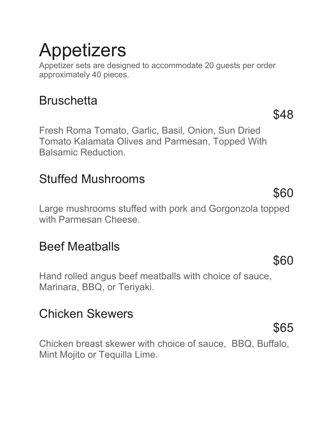# Appetizers

Appetizer sets are designed to accommodate 20 guests per order approximately 40 pieces.

## **Bruschetta**

Fresh Roma Tomato, Garlic, Basil, Onion, Sun Dried Tomato Kalamata Olives and Parmesan, Topped With Balsamic Reduction.

## Stuffed Mushrooms

Large mushrooms stuffed with pork and Gorgonzola topped with Parmesan Cheese.

### Beef Meatballs

Hand rolled angus beef meatballs with choice of sauce, Marinara, BBQ, or Teriyaki.

### Chicken Skewers

Chicken breast skewer with choice of sauce, BBQ, Buffalo, Mint Mojito or Tequilla Lime.

\$48

\$60

\$60

\$65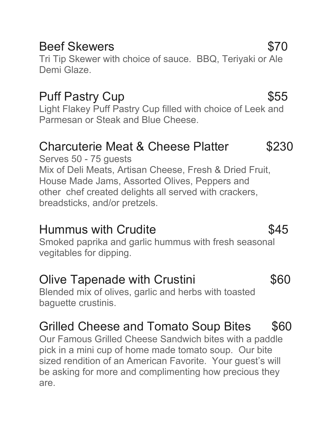### Beef Skewers \$70

Tri Tip Skewer with choice of sauce. BBQ, Teriyaki or Ale Demi Glaze.

### Puff Pastry Cup \$55

Light Flakey Puff Pastry Cup filled with choice of Leek and Parmesan or Steak and Blue Cheese.

### Charcuterie Meat & Cheese Platter \$230

Serves 50 - 75 guests Mix of Deli Meats, Artisan Cheese, Fresh & Dried Fruit, House Made Jams, Assorted Olives, Peppers and other chef created delights all served with crackers, breadsticks, and/or pretzels.

### Hummus with Crudite **1998** S45

Smoked paprika and garlic hummus with fresh seasonal vegitables for dipping.

### Olive Tapenade with Crustini  $$60$

Blended mix of olives, garlic and herbs with toasted baguette crustinis.

# Grilled Cheese and Tomato Soup Bites \$60

Our Famous Grilled Cheese Sandwich bites with a paddle pick in a mini cup of home made tomato soup. Our bite sized rendition of an American Favorite. Your guest's will be asking for more and complimenting how precious they are.

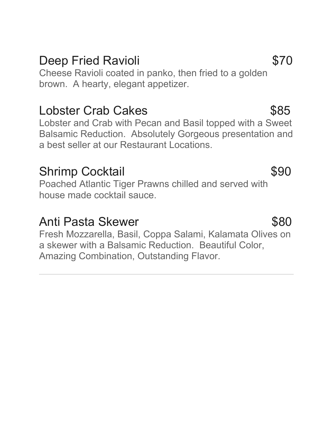### Deep Fried Ravioli **\$70**

Cheese Ravioli coated in panko, then fried to a golden brown. A hearty, elegant appetizer.

### Lobster Crab Cakes **\$85**

Lobster and Crab with Pecan and Basil topped with a Sweet Balsamic Reduction. Absolutely Gorgeous presentation and a best seller at our Restaurant Locations.

### Shrimp Cocktail **\$90**

Poached Atlantic Tiger Prawns chilled and served with house made cocktail sauce.

### Anti Pasta Skewer 580

Fresh Mozzarella, Basil, Coppa Salami, Kalamata Olives on a skewer with a Balsamic Reduction. Beautiful Color, Amazing Combination, Outstanding Flavor.